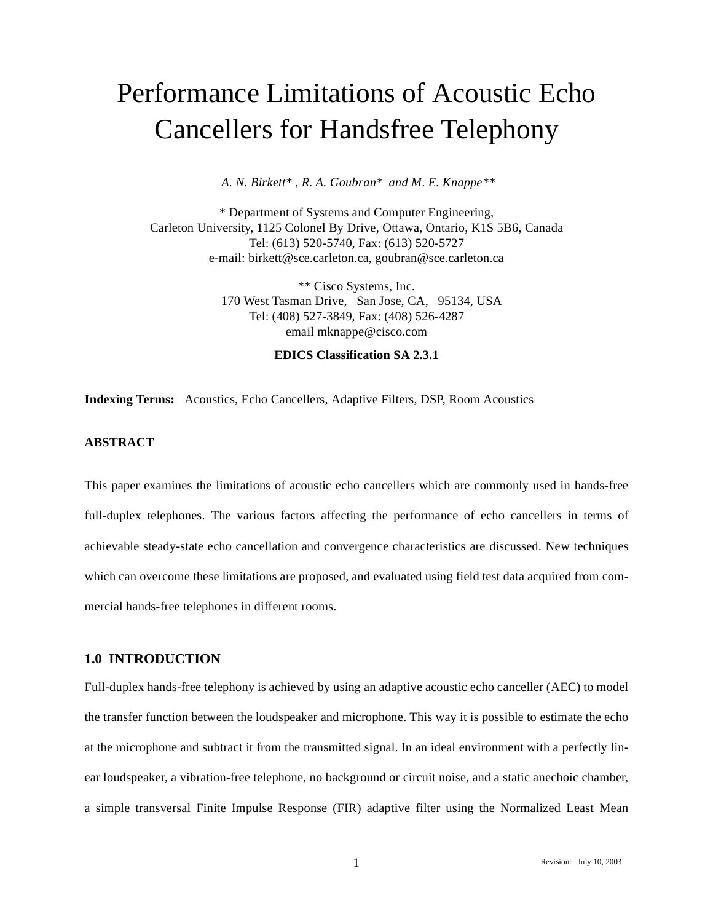# Performance Limitations of Acoustic Echo Cancellers for Handsfree Telephony

*A. N. Birkett\* , R. A. Goubran\* and M. E. Knappe\*\**

\* Department of Systems and Computer Engineering, Carleton University, 1125 Colonel By Drive, Ottawa, Ontario, K1S 5B6, Canada Tel: (613) 520-5740, Fax: (613) 520-5727 e-mail: birkett@sce.carleton.ca, goubran@sce.carleton.ca

> \*\* Cisco Systems, Inc. 170 West Tasman Drive, San Jose, CA, 95134, USA Tel: (408) 527-3849, Fax: (408) 526-4287 email mknappe@cisco.com

## **EDICS Classification SA 2.3.1**

**Indexing Terms:** Acoustics, Echo Cancellers, Adaptive Filters, DSP, Room Acoustics

# **ABSTRACT**

This paper examines the limitations of acoustic echo cancellers which are commonly used in hands-free full-duplex telephones. The various factors affecting the performance of echo cancellers in terms of achievable steady-state echo cancellation and convergence characteristics are discussed. New techniques which can overcome these limitations are proposed, and evaluated using field test data acquired from commercial hands-free telephones in different rooms.

## **1.0 INTRODUCTION**

Full-duplex hands-free telephony is achieved by using an adaptive acoustic echo canceller (AEC) to model the transfer function between the loudspeaker and microphone. This way it is possible to estimate the echo at the microphone and subtract it from the transmitted signal. In an ideal environment with a perfectly linear loudspeaker, a vibration-free telephone, no background or circuit noise, and a static anechoic chamber, a simple transversal Finite Impulse Response (FIR) adaptive filter using the Normalized Least Mean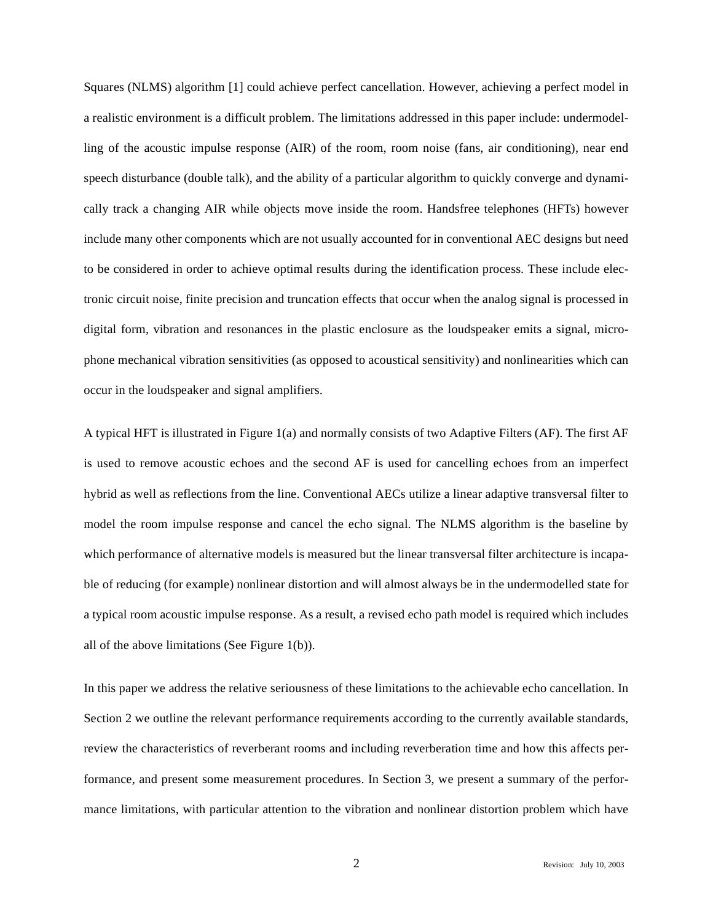Squares (NLMS) algorithm [1] could achieve perfect cancellation. However, achieving a perfect model in a realistic environment is a difficult problem. The limitations addressed in this paper include: undermodelling of the acoustic impulse response (AIR) of the room, room noise (fans, air conditioning), near end speech disturbance (double talk), and the ability of a particular algorithm to quickly converge and dynamically track a changing AIR while objects move inside the room. Handsfree telephones (HFTs) however include many other components which are not usually accounted for in conventional AEC designs but need to be considered in order to achieve optimal results during the identification process. These include electronic circuit noise, finite precision and truncation effects that occur when the analog signal is processed in digital form, vibration and resonances in the plastic enclosure as the loudspeaker emits a signal, microphone mechanical vibration sensitivities (as opposed to acoustical sensitivity) and nonlinearities which can occur in the loudspeaker and signal amplifiers.

A typical HFT is illustrated in Figure 1(a) and normally consists of two Adaptive Filters (AF). The first AF is used to remove acoustic echoes and the second AF is used for cancelling echoes from an imperfect hybrid as well as reflections from the line. Conventional AECs utilize a linear adaptive transversal filter to model the room impulse response and cancel the echo signal. The NLMS algorithm is the baseline by which performance of alternative models is measured but the linear transversal filter architecture is incapable of reducing (for example) nonlinear distortion and will almost always be in the undermodelled state for a typical room acoustic impulse response. As a result, a revised echo path model is required which includes all of the above limitations (See Figure 1(b)).

In this paper we address the relative seriousness of these limitations to the achievable echo cancellation. In Section 2 we outline the relevant performance requirements according to the currently available standards, review the characteristics of reverberant rooms and including reverberation time and how this affects performance, and present some measurement procedures. In Section 3, we present a summary of the performance limitations, with particular attention to the vibration and nonlinear distortion problem which have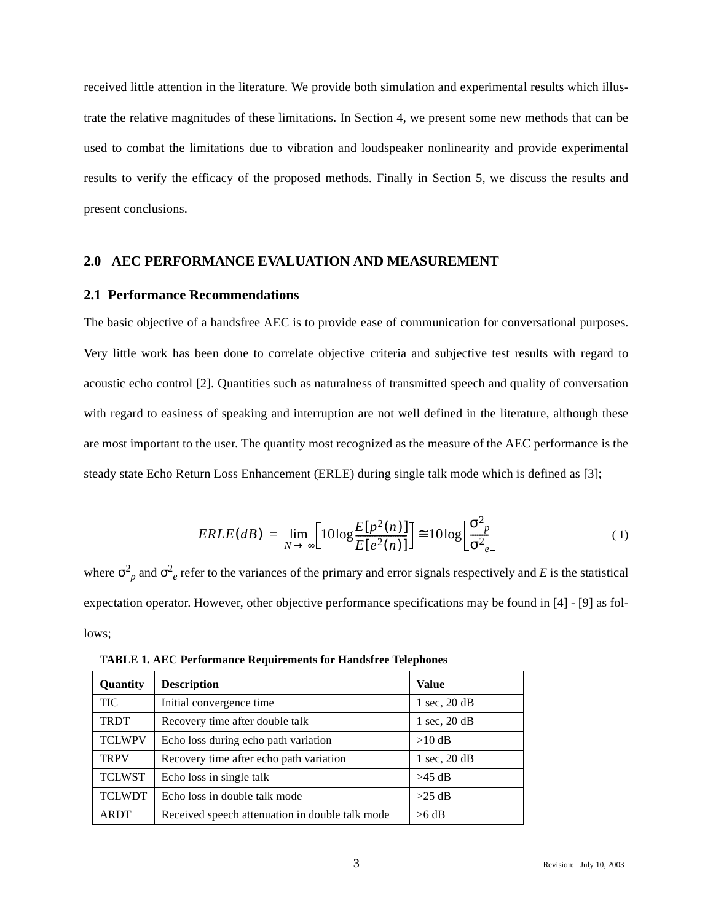received little attention in the literature. We provide both simulation and experimental results which illustrate the relative magnitudes of these limitations. In Section 4, we present some new methods that can be used to combat the limitations due to vibration and loudspeaker nonlinearity and provide experimental results to verify the efficacy of the proposed methods. Finally in Section 5, we discuss the results and present conclusions.

#### **2.0 AEC PERFORMANCE EVALUATION AND MEASUREMENT**

## **2.1 Performance Recommendations**

The basic objective of a handsfree AEC is to provide ease of communication for conversational purposes. Very little work has been done to correlate objective criteria and subjective test results with regard to acoustic echo control [2]. Quantities such as naturalness of transmitted speech and quality of conversation with regard to easiness of speaking and interruption are not well defined in the literature, although these are most important to the user. The quantity most recognized as the measure of the AEC performance is the steady state Echo Return Loss Enhancement (ERLE) during single talk mode which is defined as [3];

$$
ERLE(dB) = \lim_{N \to \infty} \left[ 10 \log \frac{E[p^2(n)]}{E[e^2(n)]} \right] \cong 10 \log \left[ \frac{\sigma^2_p}{\sigma^2_e} \right] \tag{1}
$$

where  $\sigma_p^2$  and  $\sigma_e^2$  refer to the variances of the primary and error signals respectively and *E* is the statistical expectation operator. However, other objective performance specifications may be found in [4] - [9] as follows;

| Quantity      | <b>Description</b>                              | Value                             |
|---------------|-------------------------------------------------|-----------------------------------|
| <b>TIC</b>    | Initial convergence time                        | $1 \text{ sec}$ , $20 \text{ dB}$ |
| <b>TRDT</b>   | Recovery time after double talk                 | $1 \text{ sec}$ , $20 \text{ dB}$ |
| <b>TCLWPV</b> | Echo loss during echo path variation            | $>10$ dB                          |
| <b>TRPV</b>   | Recovery time after echo path variation         | $1 \text{ sec}$ , $20 \text{ dB}$ |
| <b>TCLWST</b> | Echo loss in single talk                        | $>45$ dB                          |
| <b>TCLWDT</b> | Echo loss in double talk mode                   | $>25$ dB                          |
| <b>ARDT</b>   | Received speech attenuation in double talk mode | $>6$ dB                           |

**TABLE 1. AEC Performance Requirements for Handsfree Telephones**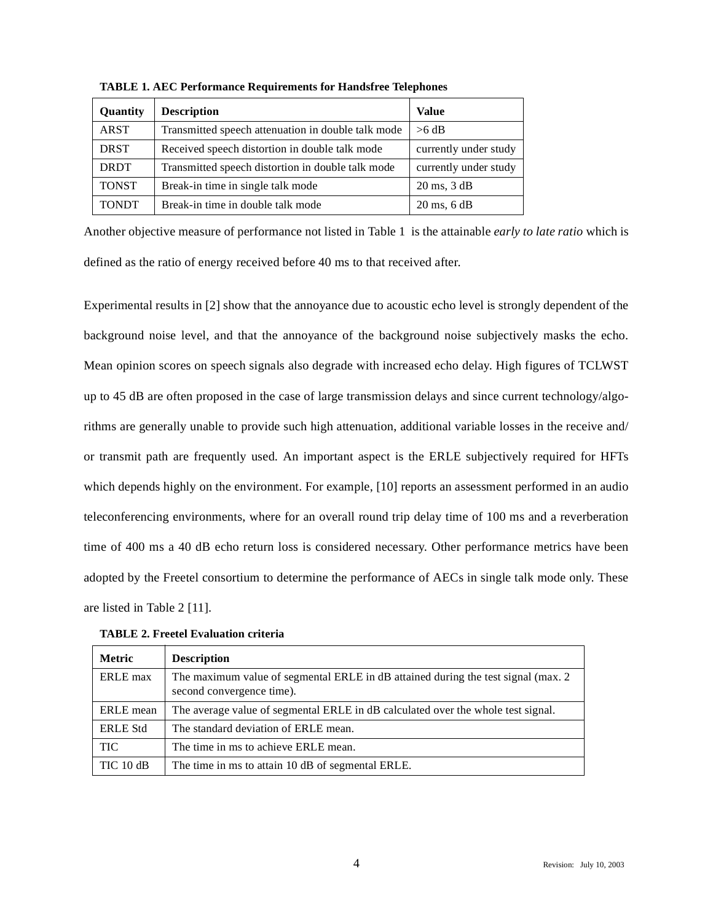| Quantity     | <b>Description</b>                                 | <b>Value</b>                     |
|--------------|----------------------------------------------------|----------------------------------|
| <b>ARST</b>  | Transmitted speech attenuation in double talk mode | $>6$ dB                          |
| <b>DRST</b>  | Received speech distortion in double talk mode     | currently under study            |
| <b>DRDT</b>  | Transmitted speech distortion in double talk mode  | currently under study            |
| <b>TONST</b> | Break-in time in single talk mode                  | $20 \text{ ms}$ , $3 \text{ dB}$ |
| <b>TONDT</b> | Break-in time in double talk mode                  | $20 \text{ ms}$ , 6 dB           |

**TABLE 1. AEC Performance Requirements for Handsfree Telephones**

Another objective measure of performance not listed in Table 1 is the attainable *early to late ratio* which is defined as the ratio of energy received before 40 ms to that received after.

Experimental results in [2] show that the annoyance due to acoustic echo level is strongly dependent of the background noise level, and that the annoyance of the background noise subjectively masks the echo. Mean opinion scores on speech signals also degrade with increased echo delay. High figures of TCLWST up to 45 dB are often proposed in the case of large transmission delays and since current technology/algorithms are generally unable to provide such high attenuation, additional variable losses in the receive and/ or transmit path are frequently used. An important aspect is the ERLE subjectively required for HFTs which depends highly on the environment. For example, [10] reports an assessment performed in an audio teleconferencing environments, where for an overall round trip delay time of 100 ms and a reverberation time of 400 ms a 40 dB echo return loss is considered necessary. Other performance metrics have been adopted by the Freetel consortium to determine the performance of AECs in single talk mode only. These are listed in Table 2 [11].

| <b>Metric</b>   | <b>Description</b>                                                                                              |
|-----------------|-----------------------------------------------------------------------------------------------------------------|
| ERLE max        | The maximum value of segmental ERLE in dB attained during the test signal (max. 2)<br>second convergence time). |
| ERLE mean       | The average value of segmental ERLE in dB calculated over the whole test signal.                                |
| <b>ERLE Std</b> | The standard deviation of ERLE mean.                                                                            |
| <b>TIC</b>      | The time in ms to achieve ERLE mean.                                                                            |
| $TIC$ 10 dB     | The time in ms to attain 10 dB of segmental ERLE.                                                               |

**TABLE 2. Freetel Evaluation criteria**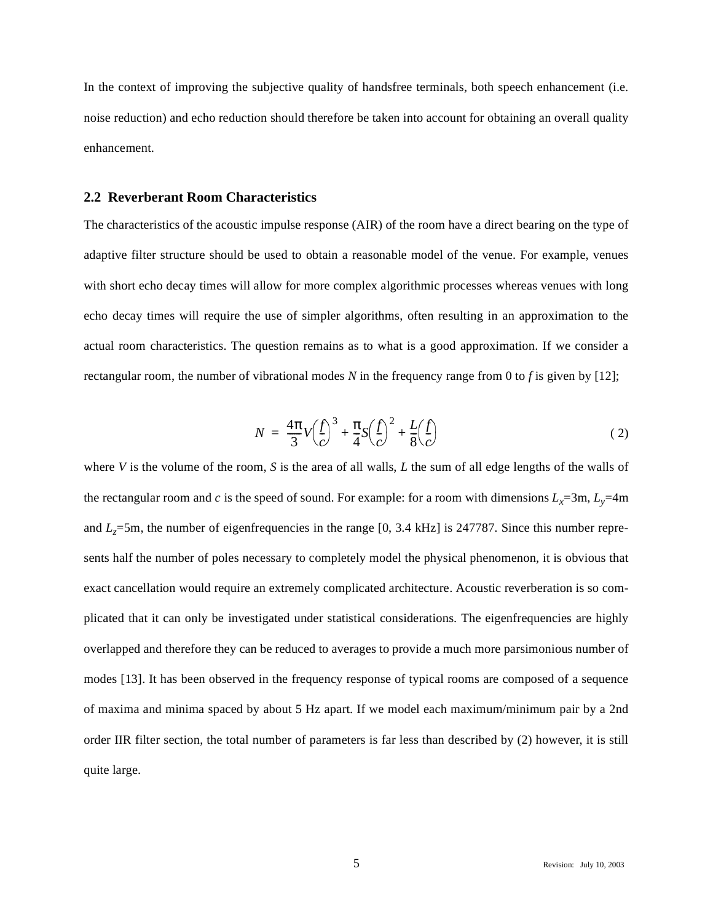In the context of improving the subjective quality of handsfree terminals, both speech enhancement (i.e. noise reduction) and echo reduction should therefore be taken into account for obtaining an overall quality enhancement.

## **2.2 Reverberant Room Characteristics**

The characteristics of the acoustic impulse response (AIR) of the room have a direct bearing on the type of adaptive filter structure should be used to obtain a reasonable model of the venue. For example, venues with short echo decay times will allow for more complex algorithmic processes whereas venues with long echo decay times will require the use of simpler algorithms, often resulting in an approximation to the actual room characteristics. The question remains as to what is a good approximation. If we consider a rectangular room, the number of vibrational modes *N* in the frequency range from 0 to *f* is given by [12];

$$
N = \frac{4\pi}{3}V\left(\frac{f}{c}\right)^3 + \frac{\pi}{4}S\left(\frac{f}{c}\right)^2 + \frac{L}{8}\left(\frac{f}{c}\right)
$$
 (2)

where *V* is the volume of the room, *S* is the area of all walls, *L* the sum of all edge lengths of the walls of the rectangular room and *c* is the speed of sound. For example: for a room with dimensions  $L_x=3m$ ,  $L_y=4m$ and *L<sub>z</sub>*=5m, the number of eigenfrequencies in the range [0, 3.4 kHz] is 247787. Since this number represents half the number of poles necessary to completely model the physical phenomenon, it is obvious that exact cancellation would require an extremely complicated architecture. Acoustic reverberation is so complicated that it can only be investigated under statistical considerations. The eigenfrequencies are highly overlapped and therefore they can be reduced to averages to provide a much more parsimonious number of modes [13]. It has been observed in the frequency response of typical rooms are composed of a sequence of maxima and minima spaced by about 5 Hz apart. If we model each maximum/minimum pair by a 2nd order IIR filter section, the total number of parameters is far less than described by (2) however, it is still quite large.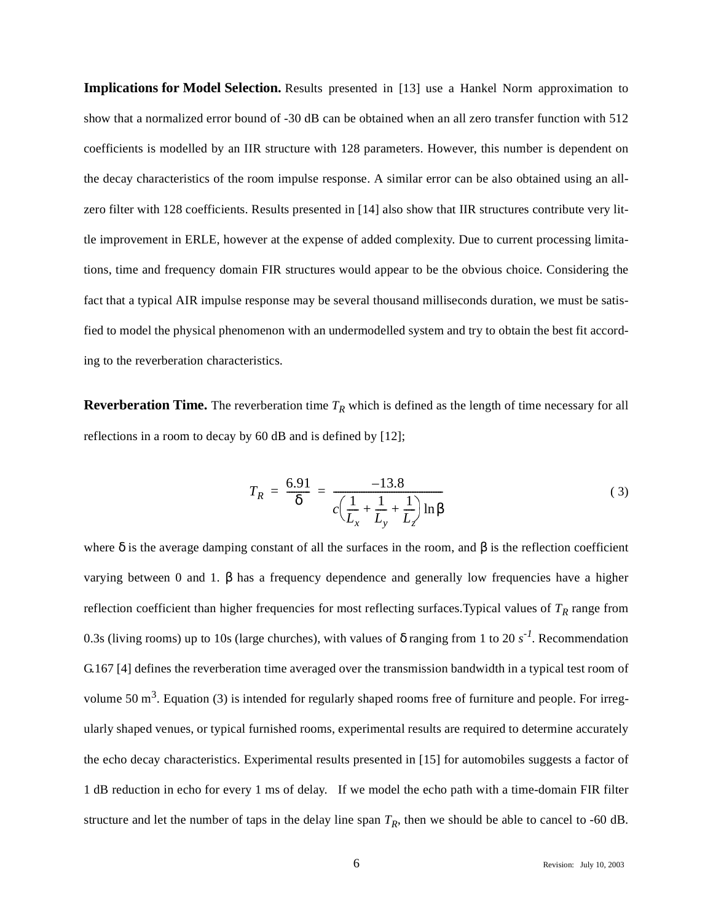**Implications for Model Selection.** Results presented in [13] use a Hankel Norm approximation to show that a normalized error bound of -30 dB can be obtained when an all zero transfer function with 512 coefficients is modelled by an IIR structure with 128 parameters. However, this number is dependent on the decay characteristics of the room impulse response. A similar error can be also obtained using an allzero filter with 128 coefficients. Results presented in [14] also show that IIR structures contribute very little improvement in ERLE, however at the expense of added complexity. Due to current processing limitations, time and frequency domain FIR structures would appear to be the obvious choice. Considering the fact that a typical AIR impulse response may be several thousand milliseconds duration, we must be satisfied to model the physical phenomenon with an undermodelled system and try to obtain the best fit according to the reverberation characteristics.

**Reverberation Time.** The reverberation time  $T_R$  which is defined as the length of time necessary for all reflections in a room to decay by 60 dB and is defined by [12];

$$
T_R = \frac{6.91}{\delta} = \frac{-13.8}{c\left(\frac{1}{L_x} + \frac{1}{L_y} + \frac{1}{L_z}\right) \ln \beta}
$$
(3)

where  $\delta$  is the average damping constant of all the surfaces in the room, and  $\beta$  is the reflection coefficient varying between 0 and 1. β has a frequency dependence and generally low frequencies have a higher reflection coefficient than higher frequencies for most reflecting surfaces. Typical values of  $T_R$  range from 0.3s (living rooms) up to 10s (large churches), with values of δ ranging from 1 to 20 *s-1*. Recommendation G.167 [4] defines the reverberation time averaged over the transmission bandwidth in a typical test room of volume 50  $m<sup>3</sup>$ . Equation (3) is intended for regularly shaped rooms free of furniture and people. For irregularly shaped venues, or typical furnished rooms, experimental results are required to determine accurately the echo decay characteristics. Experimental results presented in [15] for automobiles suggests a factor of 1 dB reduction in echo for every 1 ms of delay. If we model the echo path with a time-domain FIR filter structure and let the number of taps in the delay line span  $T_R$ , then we should be able to cancel to -60 dB.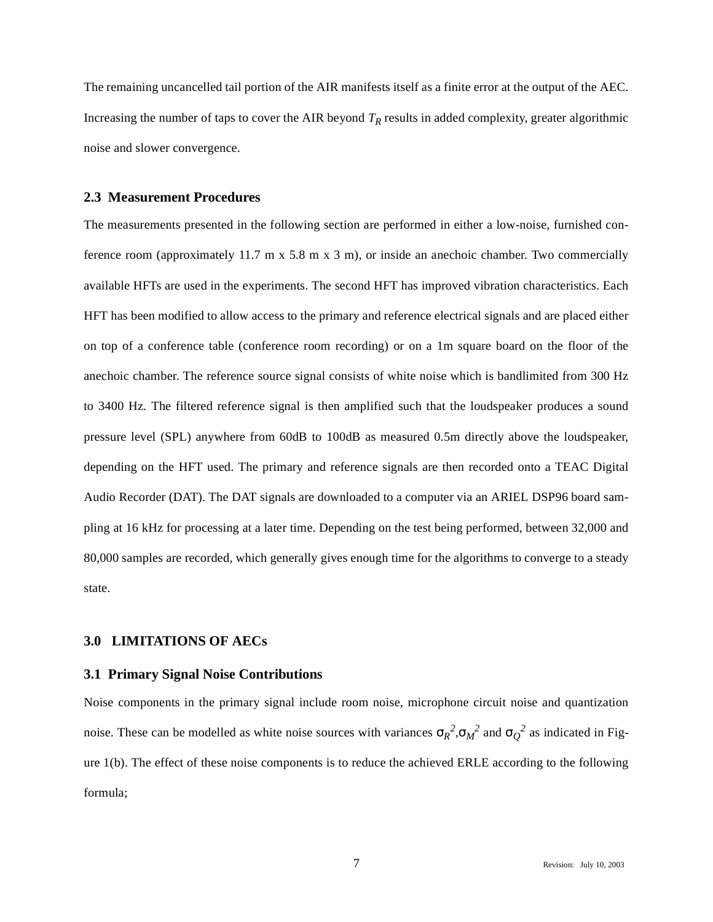The remaining uncancelled tail portion of the AIR manifests itself as a finite error at the output of the AEC. Increasing the number of taps to cover the AIR beyond  $T_R$  results in added complexity, greater algorithmic noise and slower convergence.

#### **2.3 Measurement Procedures**

The measurements presented in the following section are performed in either a low-noise, furnished conference room (approximately 11.7 m x 5.8 m x 3 m), or inside an anechoic chamber. Two commercially available HFTs are used in the experiments. The second HFT has improved vibration characteristics. Each HFT has been modified to allow access to the primary and reference electrical signals and are placed either on top of a conference table (conference room recording) or on a 1m square board on the floor of the anechoic chamber. The reference source signal consists of white noise which is bandlimited from 300 Hz to 3400 Hz. The filtered reference signal is then amplified such that the loudspeaker produces a sound pressure level (SPL) anywhere from 60dB to 100dB as measured 0.5m directly above the loudspeaker, depending on the HFT used. The primary and reference signals are then recorded onto a TEAC Digital Audio Recorder (DAT). The DAT signals are downloaded to a computer via an ARIEL DSP96 board sampling at 16 kHz for processing at a later time. Depending on the test being performed, between 32,000 and 80,000 samples are recorded, which generally gives enough time for the algorithms to converge to a steady state.

## **3.0 LIMITATIONS OF AECs**

## **3.1 Primary Signal Noise Contributions**

Noise components in the primary signal include room noise, microphone circuit noise and quantization noise. These can be modelled as white noise sources with variances  $\sigma_R^2$ , $\sigma_M^2$  and  $\sigma_Q^2$  as indicated in Figure 1(b). The effect of these noise components is to reduce the achieved ERLE according to the following formula;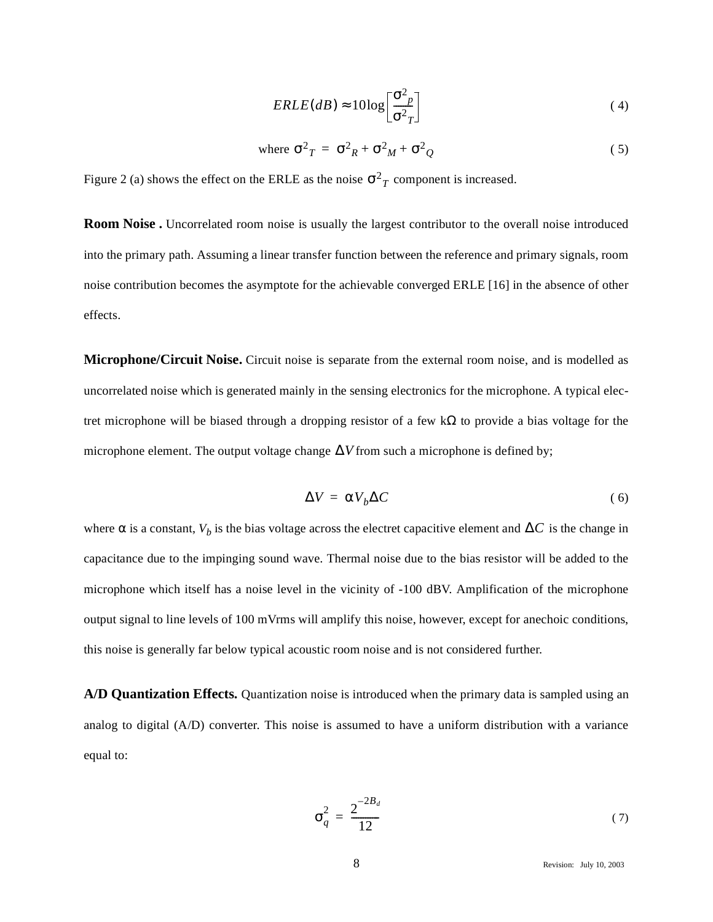$$
ERLE(dB) \approx 10 \log \left[ \frac{\sigma^2_p}{\sigma^2 T} \right] \tag{4}
$$

where 
$$
\sigma^2_T = \sigma^2_R + \sigma^2_M + \sigma^2_Q
$$
 (5)

Figure 2 (a) shows the effect on the ERLE as the noise  $\sigma^2_T$  component is increased.

**Room Noise .** Uncorrelated room noise is usually the largest contributor to the overall noise introduced into the primary path. Assuming a linear transfer function between the reference and primary signals, room noise contribution becomes the asymptote for the achievable converged ERLE [16] in the absence of other effects.

**Microphone/Circuit Noise.** Circuit noise is separate from the external room noise, and is modelled as uncorrelated noise which is generated mainly in the sensing electronics for the microphone. A typical electret microphone will be biased through a dropping resistor of a few  $k\Omega$  to provide a bias voltage for the microphone element. The output voltage change  $\Delta V$  from such a microphone is defined by;

$$
\Delta V = \alpha V_b \Delta C \tag{6}
$$

where  $\alpha$  is a constant,  $V_b$  is the bias voltage across the electret capacitive element and  $\Delta C$  is the change in capacitance due to the impinging sound wave. Thermal noise due to the bias resistor will be added to the microphone which itself has a noise level in the vicinity of -100 dBV. Amplification of the microphone output signal to line levels of 100 mVrms will amplify this noise, however, except for anechoic conditions, this noise is generally far below typical acoustic room noise and is not considered further.

**A/D Quantization Effects.** Quantization noise is introduced when the primary data is sampled using an analog to digital (A/D) converter. This noise is assumed to have a uniform distribution with a variance equal to:

$$
\sigma_q^2 = \frac{2^{-2B_d}}{12} \tag{7}
$$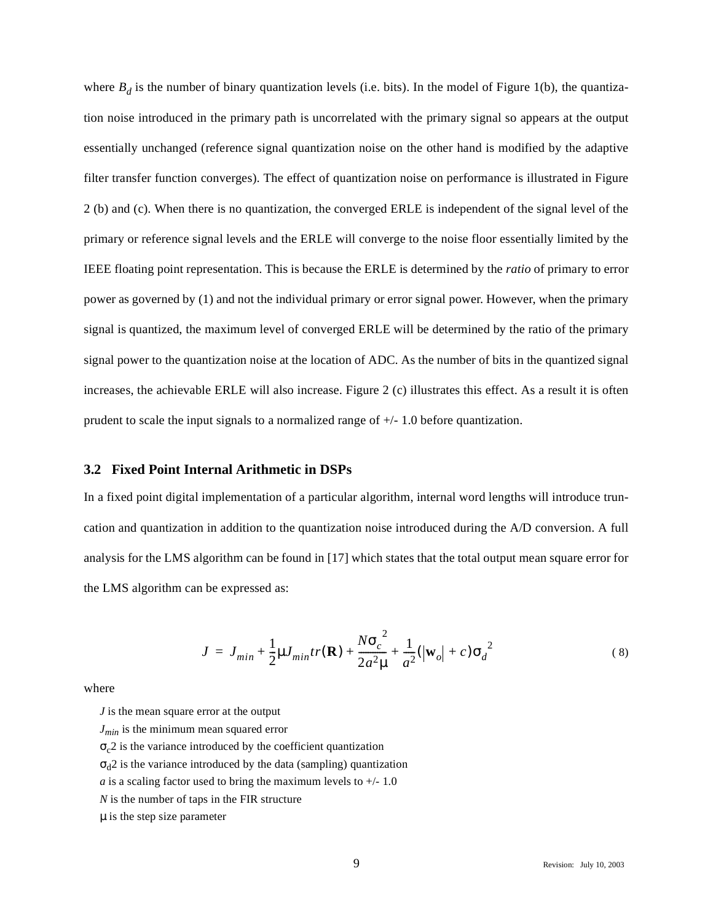where  $B_d$  is the number of binary quantization levels (i.e. bits). In the model of Figure 1(b), the quantization noise introduced in the primary path is uncorrelated with the primary signal so appears at the output essentially unchanged (reference signal quantization noise on the other hand is modified by the adaptive filter transfer function converges). The effect of quantization noise on performance is illustrated in Figure 2 (b) and (c). When there is no quantization, the converged ERLE is independent of the signal level of the primary or reference signal levels and the ERLE will converge to the noise floor essentially limited by the IEEE floating point representation. This is because the ERLE is determined by the *ratio* of primary to error power as governed by (1) and not the individual primary or error signal power. However, when the primary signal is quantized, the maximum level of converged ERLE will be determined by the ratio of the primary signal power to the quantization noise at the location of ADC. As the number of bits in the quantized signal increases, the achievable ERLE will also increase. Figure 2 (c) illustrates this effect. As a result it is often prudent to scale the input signals to a normalized range of  $+/$ - 1.0 before quantization.

## **3.2 Fixed Point Internal Arithmetic in DSPs**

In a fixed point digital implementation of a particular algorithm, internal word lengths will introduce truncation and quantization in addition to the quantization noise introduced during the A/D conversion. A full analysis for the LMS algorithm can be found in [17] which states that the total output mean square error for the LMS algorithm can be expressed as:

$$
J = J_{min} + \frac{1}{2} \mu J_{min} tr(\mathbf{R}) + \frac{N \sigma_c^2}{2 a^2 \mu} + \frac{1}{a^2} (|\mathbf{w}_o| + c) {\sigma_d}^2
$$
 (8)

where

*J* is the mean square error at the output

*Jmin* is the minimum mean squared error

 $\sigma_c$ 2 is the variance introduced by the coefficient quantization

 $\sigma_d$ 2 is the variance introduced by the data (sampling) quantization

*a* is a scaling factor used to bring the maximum levels to  $+/-1.0$ 

*N* is the number of taps in the FIR structure

µ is the step size parameter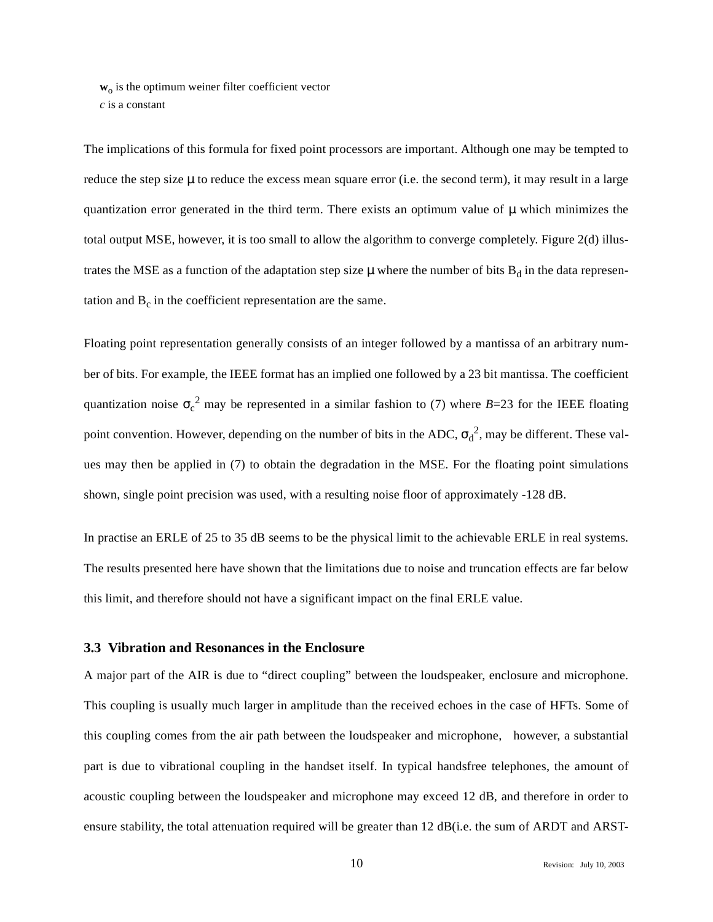$w<sub>o</sub>$  is the optimum weiner filter coefficient vector *c* is a constant

The implications of this formula for fixed point processors are important. Although one may be tempted to reduce the step size µ to reduce the excess mean square error (i.e. the second term), it may result in a large quantization error generated in the third term. There exists an optimum value of  $\mu$  which minimizes the total output MSE, however, it is too small to allow the algorithm to converge completely. Figure 2(d) illustrates the MSE as a function of the adaptation step size  $\mu$  where the number of bits  $B_d$  in the data representation and  $B<sub>c</sub>$  in the coefficient representation are the same.

Floating point representation generally consists of an integer followed by a mantissa of an arbitrary number of bits. For example, the IEEE format has an implied one followed by a 23 bit mantissa. The coefficient quantization noise  $\sigma_c^2$  may be represented in a similar fashion to (7) where *B*=23 for the IEEE floating point convention. However, depending on the number of bits in the ADC,  $\sigma_d^2$ , may be different. These values may then be applied in (7) to obtain the degradation in the MSE. For the floating point simulations shown, single point precision was used, with a resulting noise floor of approximately -128 dB.

In practise an ERLE of 25 to 35 dB seems to be the physical limit to the achievable ERLE in real systems. The results presented here have shown that the limitations due to noise and truncation effects are far below this limit, and therefore should not have a significant impact on the final ERLE value.

# **3.3 Vibration and Resonances in the Enclosure**

A major part of the AIR is due to "direct coupling" between the loudspeaker, enclosure and microphone. This coupling is usually much larger in amplitude than the received echoes in the case of HFTs. Some of this coupling comes from the air path between the loudspeaker and microphone, however, a substantial part is due to vibrational coupling in the handset itself. In typical handsfree telephones, the amount of acoustic coupling between the loudspeaker and microphone may exceed 12 dB, and therefore in order to ensure stability, the total attenuation required will be greater than 12 dB(i.e. the sum of ARDT and ARST-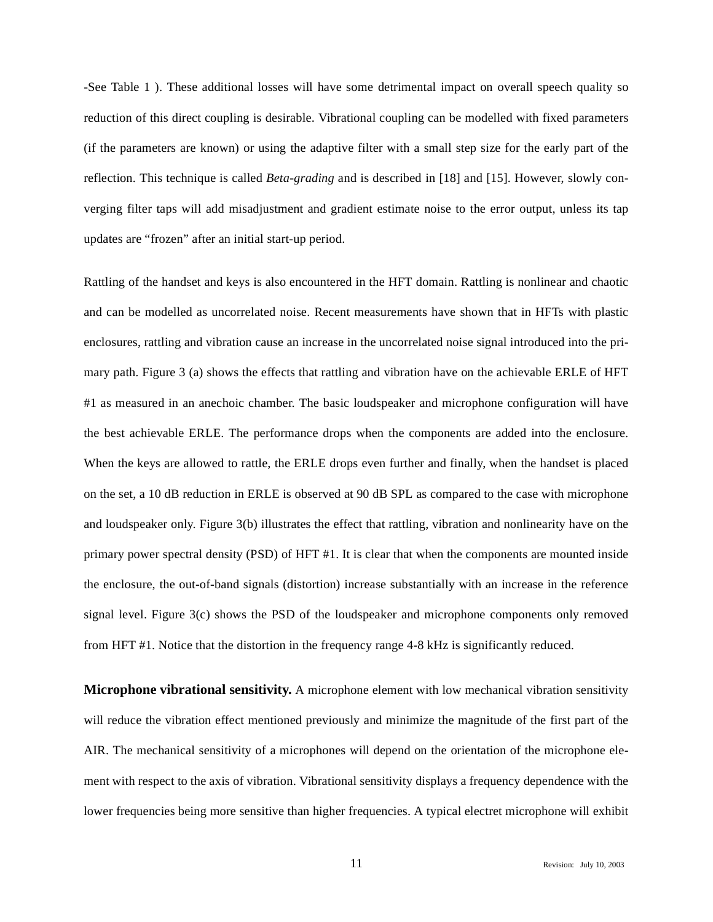-See Table 1 ). These additional losses will have some detrimental impact on overall speech quality so reduction of this direct coupling is desirable. Vibrational coupling can be modelled with fixed parameters (if the parameters are known) or using the adaptive filter with a small step size for the early part of the reflection. This technique is called *Beta-grading* and is described in [18] and [15]. However, slowly converging filter taps will add misadjustment and gradient estimate noise to the error output, unless its tap updates are "frozen" after an initial start-up period.

Rattling of the handset and keys is also encountered in the HFT domain. Rattling is nonlinear and chaotic and can be modelled as uncorrelated noise. Recent measurements have shown that in HFTs with plastic enclosures, rattling and vibration cause an increase in the uncorrelated noise signal introduced into the primary path. Figure 3 (a) shows the effects that rattling and vibration have on the achievable ERLE of HFT #1 as measured in an anechoic chamber. The basic loudspeaker and microphone configuration will have the best achievable ERLE. The performance drops when the components are added into the enclosure. When the keys are allowed to rattle, the ERLE drops even further and finally, when the handset is placed on the set, a 10 dB reduction in ERLE is observed at 90 dB SPL as compared to the case with microphone and loudspeaker only. Figure 3(b) illustrates the effect that rattling, vibration and nonlinearity have on the primary power spectral density (PSD) of HFT #1. It is clear that when the components are mounted inside the enclosure, the out-of-band signals (distortion) increase substantially with an increase in the reference signal level. Figure 3(c) shows the PSD of the loudspeaker and microphone components only removed from HFT #1. Notice that the distortion in the frequency range 4-8 kHz is significantly reduced.

**Microphone vibrational sensitivity.** A microphone element with low mechanical vibration sensitivity will reduce the vibration effect mentioned previously and minimize the magnitude of the first part of the AIR. The mechanical sensitivity of a microphones will depend on the orientation of the microphone element with respect to the axis of vibration. Vibrational sensitivity displays a frequency dependence with the lower frequencies being more sensitive than higher frequencies. A typical electret microphone will exhibit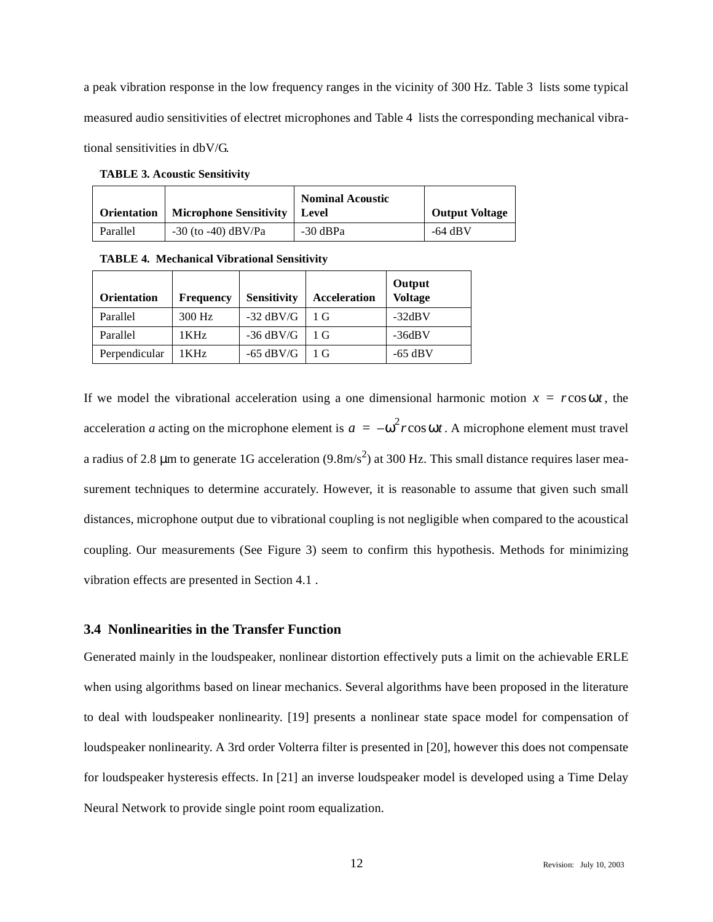a peak vibration response in the low frequency ranges in the vicinity of 300 Hz. Table 3 lists some typical measured audio sensitivities of electret microphones and Table 4 lists the corresponding mechanical vibrational sensitivities in dbV/G.

**TABLE 3. Acoustic Sensitivity**

|          | <b>Orientation</b>   Microphone Sensitivity   Level | <b>Nominal Acoustic</b> | <b>Output Voltage</b> |
|----------|-----------------------------------------------------|-------------------------|-----------------------|
| Parallel | $-30$ (to $-40$ ) dBV/Pa                            | -30 dBPa                | -64 dBV               |

**TABLE 4. Mechanical Vibrational Sensitivity**

| <b>Orientation</b> | <b>Frequency</b> | <b>Sensitivity</b> | <b>Acceleration</b> | Output<br><b>Voltage</b> |
|--------------------|------------------|--------------------|---------------------|--------------------------|
| Parallel           | 300 Hz           | $-32$ dBV/G        | 1 <sub>G</sub>      | $-32dBV$                 |
| Parallel           | 1 KHz            | $-36$ dBV/G        | 1 G                 | $-36dBV$                 |
| Perpendicular      | 1 KH z           | -65 $dBV/G$        | 1 G                 | $-65$ dBV                |

If we model the vibrational acceleration using a one dimensional harmonic motion  $x = r \cos \omega t$ , the acceleration *a* acting on the microphone element is  $a = -\omega^2 r \cos \omega t$ . A microphone element must travel a radius of 2.8 µm to generate 1G acceleration (9.8m/s<sup>2</sup>) at 300 Hz. This small distance requires laser measurement techniques to determine accurately. However, it is reasonable to assume that given such small distances, microphone output due to vibrational coupling is not negligible when compared to the acoustical coupling. Our measurements (See Figure 3) seem to confirm this hypothesis. Methods for minimizing vibration effects are presented in Section 4.1 .

## **3.4 Nonlinearities in the Transfer Function**

Generated mainly in the loudspeaker, nonlinear distortion effectively puts a limit on the achievable ERLE when using algorithms based on linear mechanics. Several algorithms have been proposed in the literature to deal with loudspeaker nonlinearity. [19] presents a nonlinear state space model for compensation of loudspeaker nonlinearity. A 3rd order Volterra filter is presented in [20], however this does not compensate for loudspeaker hysteresis effects. In [21] an inverse loudspeaker model is developed using a Time Delay Neural Network to provide single point room equalization.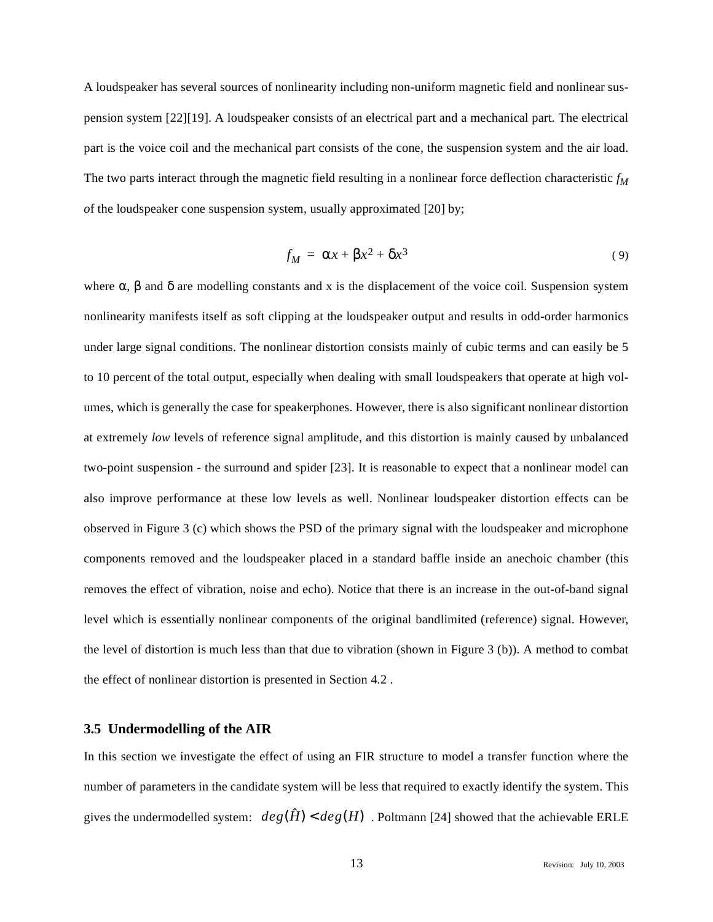A loudspeaker has several sources of nonlinearity including non-uniform magnetic field and nonlinear suspension system [22][19]. A loudspeaker consists of an electrical part and a mechanical part. The electrical part is the voice coil and the mechanical part consists of the cone, the suspension system and the air load. The two parts interact through the magnetic field resulting in a nonlinear force deflection characteristic  $f_M$ *o*f the loudspeaker cone suspension system, usually approximated [20] by;

$$
f_M = \alpha x + \beta x^2 + \delta x^3 \tag{9}
$$

where  $\alpha$ ,  $\beta$  and  $\delta$  are modelling constants and x is the displacement of the voice coil. Suspension system nonlinearity manifests itself as soft clipping at the loudspeaker output and results in odd-order harmonics under large signal conditions. The nonlinear distortion consists mainly of cubic terms and can easily be 5 to 10 percent of the total output, especially when dealing with small loudspeakers that operate at high volumes, which is generally the case for speakerphones. However, there is also significant nonlinear distortion at extremely *low* levels of reference signal amplitude, and this distortion is mainly caused by unbalanced two-point suspension - the surround and spider [23]. It is reasonable to expect that a nonlinear model can also improve performance at these low levels as well. Nonlinear loudspeaker distortion effects can be observed in Figure 3 (c) which shows the PSD of the primary signal with the loudspeaker and microphone components removed and the loudspeaker placed in a standard baffle inside an anechoic chamber (this removes the effect of vibration, noise and echo). Notice that there is an increase in the out-of-band signal level which is essentially nonlinear components of the original bandlimited (reference) signal. However, the level of distortion is much less than that due to vibration (shown in Figure 3 (b)). A method to combat the effect of nonlinear distortion is presented in Section 4.2 .

#### **3.5 Undermodelling of the AIR**

In this section we investigate the effect of using an FIR structure to model a transfer function where the number of parameters in the candidate system will be less that required to exactly identify the system. This gives the undermodelled system:  $deg(\hat{H}) < deg(H)$ . Poltmann [24] showed that the achievable ERLE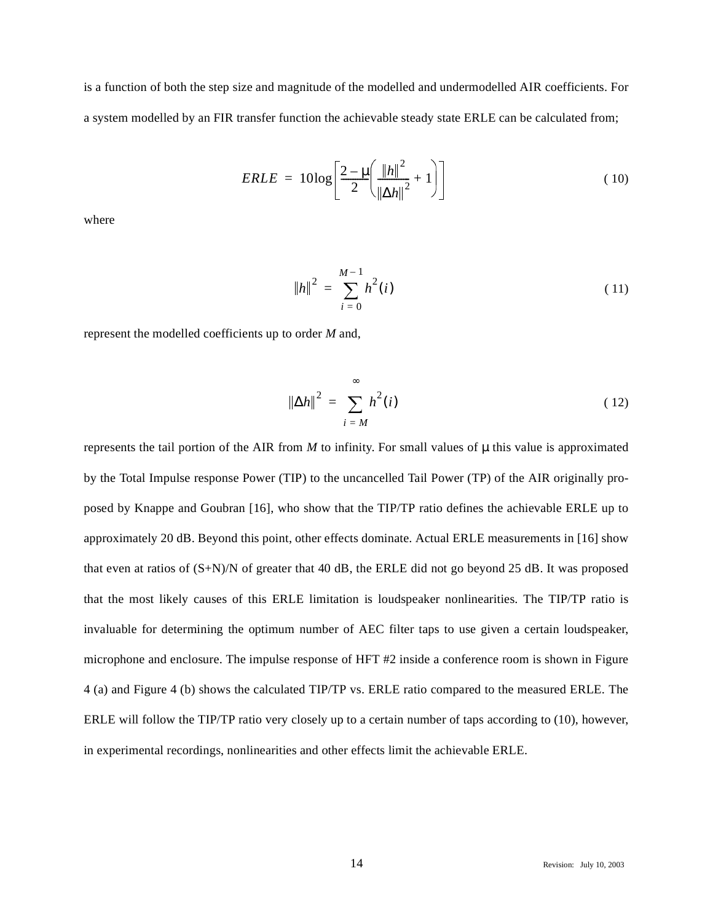is a function of both the step size and magnitude of the modelled and undermodelled AIR coefficients. For a system modelled by an FIR transfer function the achievable steady state ERLE can be calculated from;

$$
ERLE = 10\log\left[\frac{2-\mu}{2}\left(\frac{\left\|h\right\|^2}{\left\|\Delta h\right\|^2} + 1\right)\right]
$$
(10)

where

$$
||h||^2 = \sum_{i=0}^{M-1} h^2(i)
$$
 (11)

represent the modelled coefficients up to order *M* and,

$$
\|\Delta h\|^2 = \sum_{i=M}^{\infty} h^2(i)
$$
 (12)

represents the tail portion of the AIR from  $M$  to infinity. For small values of  $\mu$  this value is approximated by the Total Impulse response Power (TIP) to the uncancelled Tail Power (TP) of the AIR originally proposed by Knappe and Goubran [16], who show that the TIP/TP ratio defines the achievable ERLE up to approximately 20 dB. Beyond this point, other effects dominate. Actual ERLE measurements in [16] show that even at ratios of (S+N)/N of greater that 40 dB, the ERLE did not go beyond 25 dB. It was proposed that the most likely causes of this ERLE limitation is loudspeaker nonlinearities. The TIP/TP ratio is invaluable for determining the optimum number of AEC filter taps to use given a certain loudspeaker, microphone and enclosure. The impulse response of HFT #2 inside a conference room is shown in Figure 4 (a) and Figure 4 (b) shows the calculated TIP/TP vs. ERLE ratio compared to the measured ERLE. The ERLE will follow the TIP/TP ratio very closely up to a certain number of taps according to (10), however, in experimental recordings, nonlinearities and other effects limit the achievable ERLE.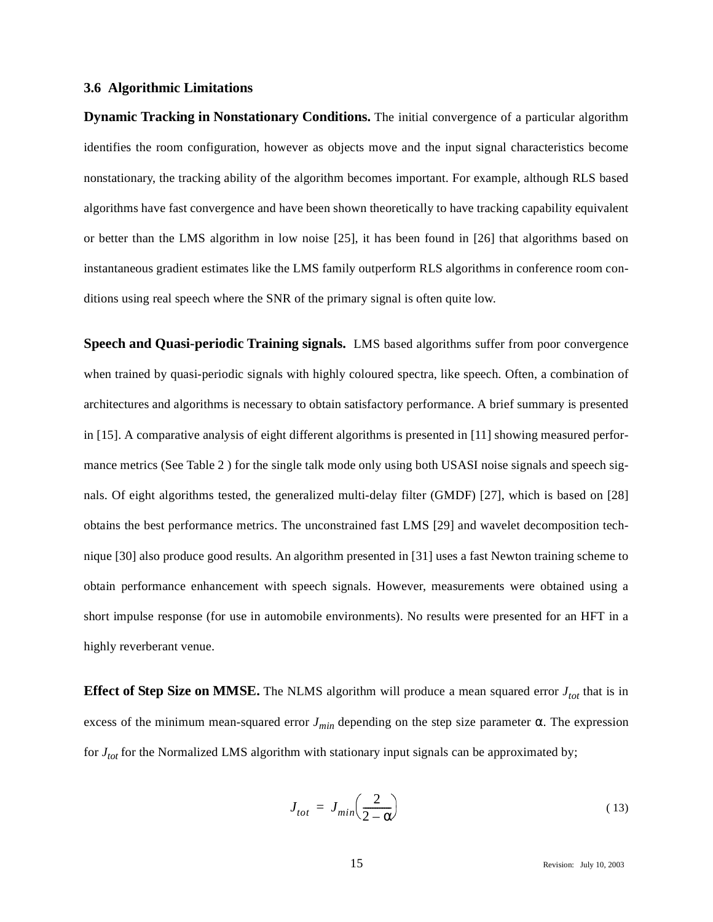## **3.6 Algorithmic Limitations**

**Dynamic Tracking in Nonstationary Conditions.** The initial convergence of a particular algorithm identifies the room configuration, however as objects move and the input signal characteristics become nonstationary, the tracking ability of the algorithm becomes important. For example, although RLS based algorithms have fast convergence and have been shown theoretically to have tracking capability equivalent or better than the LMS algorithm in low noise [25], it has been found in [26] that algorithms based on instantaneous gradient estimates like the LMS family outperform RLS algorithms in conference room conditions using real speech where the SNR of the primary signal is often quite low.

**Speech and Quasi-periodic Training signals.** LMS based algorithms suffer from poor convergence when trained by quasi-periodic signals with highly coloured spectra, like speech. Often, a combination of architectures and algorithms is necessary to obtain satisfactory performance. A brief summary is presented in [15]. A comparative analysis of eight different algorithms is presented in [11] showing measured performance metrics (See Table 2 ) for the single talk mode only using both USASI noise signals and speech signals. Of eight algorithms tested, the generalized multi-delay filter (GMDF) [27], which is based on [28] obtains the best performance metrics. The unconstrained fast LMS [29] and wavelet decomposition technique [30] also produce good results. An algorithm presented in [31] uses a fast Newton training scheme to obtain performance enhancement with speech signals. However, measurements were obtained using a short impulse response (for use in automobile environments). No results were presented for an HFT in a highly reverberant venue.

**Effect of Step Size on MMSE.** The NLMS algorithm will produce a mean squared error  $J_{tot}$  that is in excess of the minimum mean-squared error  $J_{min}$  depending on the step size parameter  $\alpha$ . The expression for *Jtot* for the Normalized LMS algorithm with stationary input signals can be approximated by;

$$
J_{tot} = J_{min} \left( \frac{2}{2 - \alpha} \right) \tag{13}
$$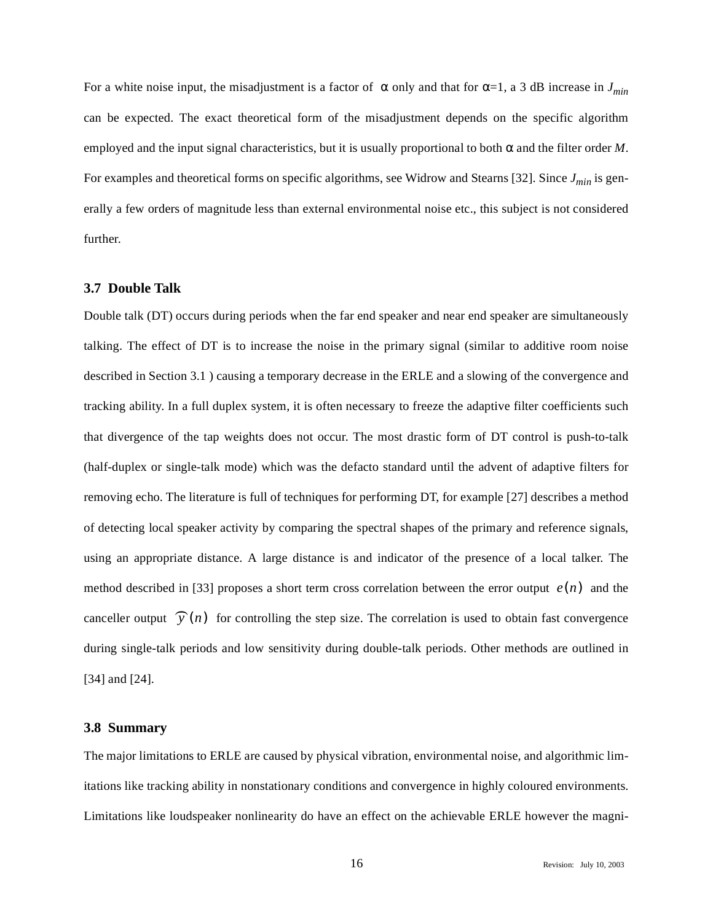For a white noise input, the misadjustment is a factor of  $\alpha$  only and that for  $\alpha=1$ , a 3 dB increase in  $J_{min}$ can be expected. The exact theoretical form of the misadjustment depends on the specific algorithm employed and the input signal characteristics, but it is usually proportional to both  $\alpha$  and the filter order *M*. For examples and theoretical forms on specific algorithms, see Widrow and Stearns [32]. Since  $J_{min}$  is generally a few orders of magnitude less than external environmental noise etc., this subject is not considered further.

# **3.7 Double Talk**

Double talk (DT) occurs during periods when the far end speaker and near end speaker are simultaneously talking. The effect of DT is to increase the noise in the primary signal (similar to additive room noise described in Section 3.1 ) causing a temporary decrease in the ERLE and a slowing of the convergence and tracking ability. In a full duplex system, it is often necessary to freeze the adaptive filter coefficients such that divergence of the tap weights does not occur. The most drastic form of DT control is push-to-talk (half-duplex or single-talk mode) which was the defacto standard until the advent of adaptive filters for removing echo. The literature is full of techniques for performing DT, for example [27] describes a method of detecting local speaker activity by comparing the spectral shapes of the primary and reference signals, using an appropriate distance. A large distance is and indicator of the presence of a local talker. The method described in [33] proposes a short term cross correlation between the error output  $e(n)$  and the canceller output  $\widehat{y}(n)$  for controlling the step size. The correlation is used to obtain fast convergence during single-talk periods and low sensitivity during double-talk periods. Other methods are outlined in [34] and [24].

#### **3.8 Summary**

The major limitations to ERLE are caused by physical vibration, environmental noise, and algorithmic limitations like tracking ability in nonstationary conditions and convergence in highly coloured environments. Limitations like loudspeaker nonlinearity do have an effect on the achievable ERLE however the magni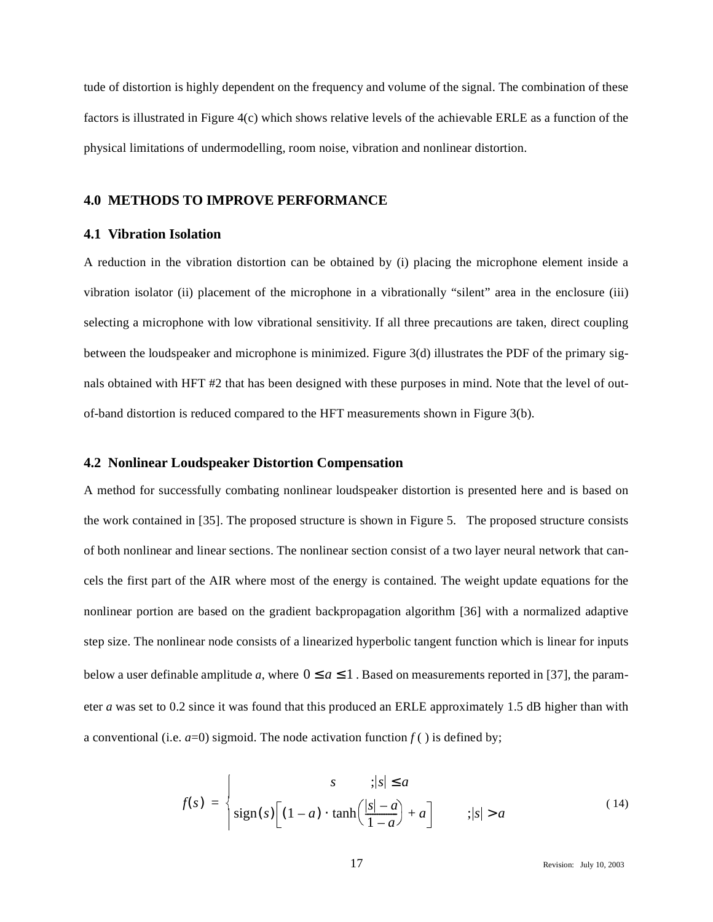tude of distortion is highly dependent on the frequency and volume of the signal. The combination of these factors is illustrated in Figure 4(c) which shows relative levels of the achievable ERLE as a function of the physical limitations of undermodelling, room noise, vibration and nonlinear distortion.

## **4.0 METHODS TO IMPROVE PERFORMANCE**

## **4.1 Vibration Isolation**

A reduction in the vibration distortion can be obtained by (i) placing the microphone element inside a vibration isolator (ii) placement of the microphone in a vibrationally "silent" area in the enclosure (iii) selecting a microphone with low vibrational sensitivity. If all three precautions are taken, direct coupling between the loudspeaker and microphone is minimized. Figure 3(d) illustrates the PDF of the primary signals obtained with HFT #2 that has been designed with these purposes in mind. Note that the level of outof-band distortion is reduced compared to the HFT measurements shown in Figure 3(b).

## **4.2 Nonlinear Loudspeaker Distortion Compensation**

A method for successfully combating nonlinear loudspeaker distortion is presented here and is based on the work contained in [35]. The proposed structure is shown in Figure 5. The proposed structure consists of both nonlinear and linear sections. The nonlinear section consist of a two layer neural network that cancels the first part of the AIR where most of the energy is contained. The weight update equations for the nonlinear portion are based on the gradient backpropagation algorithm [36] with a normalized adaptive step size. The nonlinear node consists of a linearized hyperbolic tangent function which is linear for inputs below a user definable amplitude a, where  $0 \le a \le 1$ . Based on measurements reported in [37], the parameter *a* was set to 0.2 since it was found that this produced an ERLE approximately 1.5 dB higher than with a conventional (i.e.  $a=0$ ) sigmoid. The node activation function  $f()$  is defined by;

$$
f(s) = \begin{cases} s & ; |s| \le a \\ \text{sign}(s) \Big[ (1-a) \cdot \tanh\Big(\frac{|s|-a}{1-a}\Big) + a \Big] & ; |s| > a \end{cases}
$$
(14)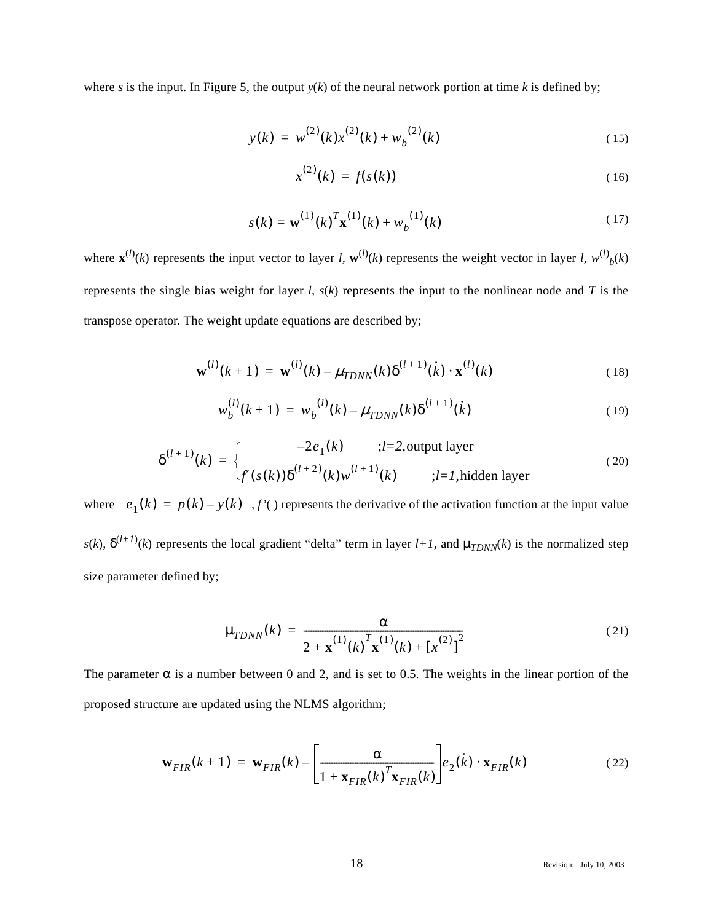where *s* is the input. In Figure 5, the output  $y(k)$  of the neural network portion at time *k* is defined by;

$$
y(k) = w^{(2)}(k)x^{(2)}(k) + w_b^{(2)}(k)
$$
\n(15)

$$
x^{(2)}(k) = f(s(k))
$$
 (16)

$$
s(k) = \mathbf{w}^{(1)}(k)^T \mathbf{x}^{(1)}(k) + w_b^{(1)}(k)
$$
 (17)

where  $\mathbf{x}^{(l)}(k)$  represents the input vector to layer *l*,  $\mathbf{w}^{(l)}(k)$  represents the weight vector in layer *l*,  $w^{(l)}(k)$ represents the single bias weight for layer *l, s*(*k*) represents the input to the nonlinear node and *T* is the transpose operator. The weight update equations are described by;

$$
\mathbf{w}^{(l)}(k+1) = \mathbf{w}^{(l)}(k) - \mu_{T DNN}(k) \delta^{(l+1)}(k) \cdot \mathbf{x}^{(l)}(k)
$$
 (18)

$$
w_b^{(l)}(k+1) = w_b^{(l)}(k) - \mu_{TDNN}(k)\delta^{(l+1)}(k)
$$
\n(19)

$$
\delta^{(l+1)}(k) = \begin{cases}\n-2e_1(k) & ;l=2, \text{output layer} \\
f'(s(k))\delta^{(l+2)}(k)w^{(l+1)}(k) & ;l=1, \text{hidden layer}\n\end{cases}
$$
\n(20)

where  $e_1(k) = p(k) - y(k)$ ,  $f'(k)$  represents the derivative of the activation function at the input value  $s(k)$ ,  $\delta^{(l+1)}(k)$  represents the local gradient "delta" term in layer  $l+1$ , and  $\mu_{TDNN}(k)$  is the normalized step size parameter defined by;

$$
\mu_{T DNN}(k) = \frac{\alpha}{2 + \mathbf{x}^{(1)}(k) \mathbf{x}^{(1)}(k) + [x^{(2)}]^2}
$$
(21)

The parameter  $\alpha$  is a number between 0 and 2, and is set to 0.5. The weights in the linear portion of the proposed structure are updated using the NLMS algorithm;

$$
\mathbf{w}_{FIR}(k+1) = \mathbf{w}_{FIR}(k) - \left[\frac{\alpha}{1 + \mathbf{x}_{FIR}(k)}\right] e_2(k) \cdot \mathbf{x}_{FIR}(k)
$$
(22)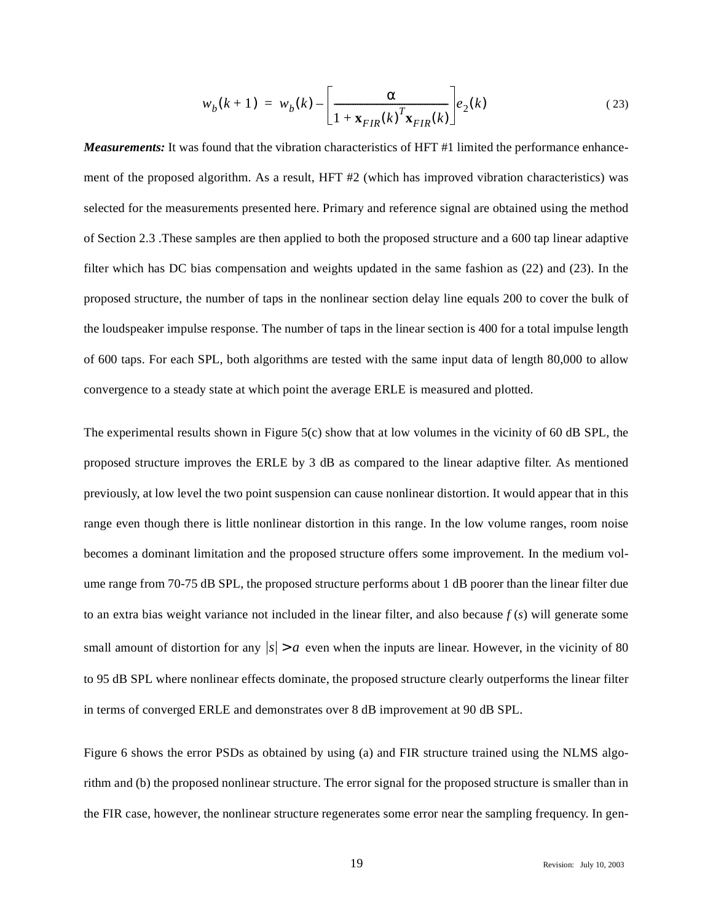$$
w_b(k+1) = w_b(k) - \left[\frac{\alpha}{1 + \mathbf{x}_{FIR}(k)}\right] e_2(k)
$$
 (23)

*Measurements:* It was found that the vibration characteristics of HFT #1 limited the performance enhancement of the proposed algorithm. As a result, HFT #2 (which has improved vibration characteristics) was selected for the measurements presented here. Primary and reference signal are obtained using the method of Section 2.3 .These samples are then applied to both the proposed structure and a 600 tap linear adaptive filter which has DC bias compensation and weights updated in the same fashion as (22) and (23). In the proposed structure, the number of taps in the nonlinear section delay line equals 200 to cover the bulk of the loudspeaker impulse response. The number of taps in the linear section is 400 for a total impulse length of 600 taps. For each SPL, both algorithms are tested with the same input data of length 80,000 to allow convergence to a steady state at which point the average ERLE is measured and plotted.

The experimental results shown in Figure  $5(c)$  show that at low volumes in the vicinity of 60 dB SPL, the proposed structure improves the ERLE by 3 dB as compared to the linear adaptive filter. As mentioned previously, at low level the two point suspension can cause nonlinear distortion. It would appear that in this range even though there is little nonlinear distortion in this range. In the low volume ranges, room noise becomes a dominant limitation and the proposed structure offers some improvement. In the medium volume range from 70-75 dB SPL, the proposed structure performs about 1 dB poorer than the linear filter due to an extra bias weight variance not included in the linear filter, and also because *f* (*s*) will generate some small amount of distortion for any  $|s| > a$  even when the inputs are linear. However, in the vicinity of 80 to 95 dB SPL where nonlinear effects dominate, the proposed structure clearly outperforms the linear filter in terms of converged ERLE and demonstrates over 8 dB improvement at 90 dB SPL.

Figure 6 shows the error PSDs as obtained by using (a) and FIR structure trained using the NLMS algorithm and (b) the proposed nonlinear structure. The error signal for the proposed structure is smaller than in the FIR case, however, the nonlinear structure regenerates some error near the sampling frequency. In gen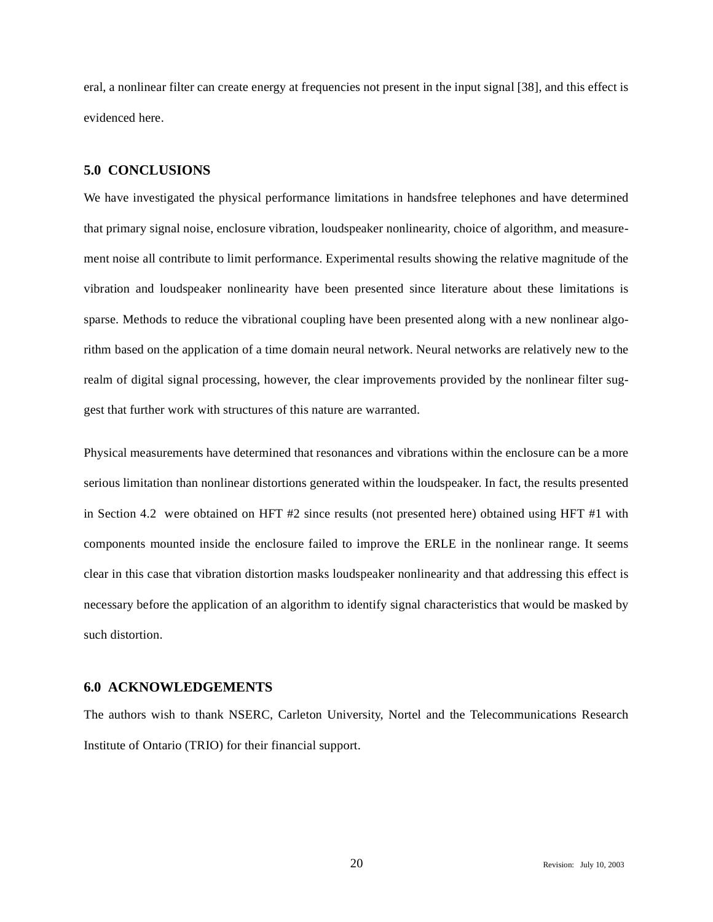eral, a nonlinear filter can create energy at frequencies not present in the input signal [38], and this effect is evidenced here.

## **5.0 CONCLUSIONS**

We have investigated the physical performance limitations in handsfree telephones and have determined that primary signal noise, enclosure vibration, loudspeaker nonlinearity, choice of algorithm, and measurement noise all contribute to limit performance. Experimental results showing the relative magnitude of the vibration and loudspeaker nonlinearity have been presented since literature about these limitations is sparse. Methods to reduce the vibrational coupling have been presented along with a new nonlinear algorithm based on the application of a time domain neural network. Neural networks are relatively new to the realm of digital signal processing, however, the clear improvements provided by the nonlinear filter suggest that further work with structures of this nature are warranted.

Physical measurements have determined that resonances and vibrations within the enclosure can be a more serious limitation than nonlinear distortions generated within the loudspeaker. In fact, the results presented in Section 4.2 were obtained on HFT #2 since results (not presented here) obtained using HFT #1 with components mounted inside the enclosure failed to improve the ERLE in the nonlinear range. It seems clear in this case that vibration distortion masks loudspeaker nonlinearity and that addressing this effect is necessary before the application of an algorithm to identify signal characteristics that would be masked by such distortion.

# **6.0 ACKNOWLEDGEMENTS**

The authors wish to thank NSERC, Carleton University, Nortel and the Telecommunications Research Institute of Ontario (TRIO) for their financial support.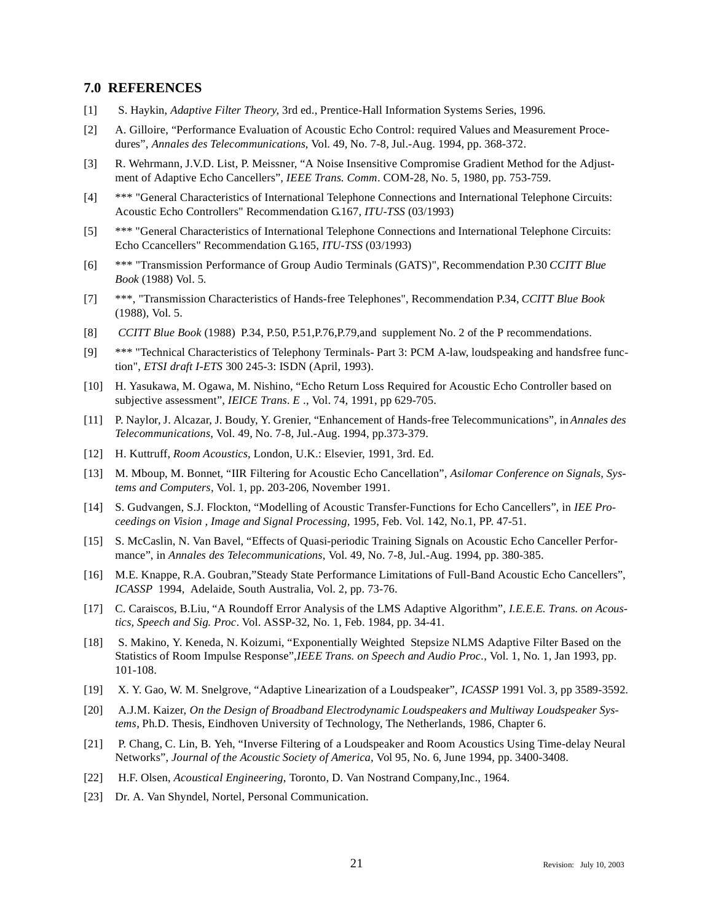#### **7.0 REFERENCES**

- [1] S. Haykin, *Adaptive Filter Theory*, 3rd ed., Prentice-Hall Information Systems Series, 1996.
- [2] A. Gilloire, "Performance Evaluation of Acoustic Echo Control: required Values and Measurement Procedures", *Annales des Telecommunications*, Vol. 49, No. 7-8, Jul.-Aug. 1994, pp. 368-372.
- [3] R. Wehrmann, J.V.D. List, P. Meissner, "A Noise Insensitive Compromise Gradient Method for the Adjustment of Adaptive Echo Cancellers", *IEEE Trans. Comm*. COM-28, No. 5, 1980, pp. 753-759.
- [4] \*\*\* "General Characteristics of International Telephone Connections and International Telephone Circuits: Acoustic Echo Controllers" Recommendation G.167, *ITU-TSS* (03/1993)
- [5] \*\*\* "General Characteristics of International Telephone Connections and International Telephone Circuits: Echo Ccancellers" Recommendation G.165, *ITU-TSS* (03/1993)
- [6] \*\*\* "Transmission Performance of Group Audio Terminals (GATS)", Recommendation P.30 *CCITT Blue Book* (1988) Vol. 5.
- [7] \*\*\*, "Transmission Characteristics of Hands-free Telephones", Recommendation P.34, *CCITT Blue Book* (1988), Vol. 5.
- [8] *CCITT Blue Book* (1988) P.34, P.50, P.51,P.76,P.79,and supplement No. 2 of the P recommendations.
- [9] \*\*\* "Technical Characteristics of Telephony Terminals- Part 3: PCM A-law, loudspeaking and handsfree function", *ETSI draft I-ETS* 300 245-3: ISDN (April, 1993).
- [10] H. Yasukawa, M. Ogawa, M. Nishino, "Echo Return Loss Required for Acoustic Echo Controller based on subjective assessment", *IEICE Trans. E* ., Vol. 74, 1991, pp 629-705.
- [11] P. Naylor, J. Alcazar, J. Boudy, Y. Grenier, "Enhancement of Hands-free Telecommunications", in *Annales des Telecommunications*, Vol. 49, No. 7-8, Jul.-Aug. 1994, pp.373-379.
- [12] H. Kuttruff, *Room Acoustics*, London, U.K.: Elsevier, 1991, 3rd. Ed.
- [13] M. Mboup, M. Bonnet, "IIR Filtering for Acoustic Echo Cancellation", *Asilomar Conference on Signals, Systems and Computers,* Vol. 1, pp. 203-206, November 1991.
- [14] S. Gudvangen, S.J. Flockton, "Modelling of Acoustic Transfer-Functions for Echo Cancellers", in *IEE Proceedings on Vision , Image and Signal Processing,* 1995, Feb. Vol. 142, No.1, PP. 47-51.
- [15] S. McCaslin, N. Van Bavel, "Effects of Quasi-periodic Training Signals on Acoustic Echo Canceller Performance", in *Annales des Telecommunications*, Vol. 49, No. 7-8, Jul.-Aug. 1994, pp. 380-385.
- [16] M.E. Knappe, R.A. Goubran,"Steady State Performance Limitations of Full-Band Acoustic Echo Cancellers", *ICASSP* 1994, Adelaide, South Australia, Vol. 2, pp. 73-76.
- [17] C. Caraiscos, B.Liu, "A Roundoff Error Analysis of the LMS Adaptive Algorithm", *I.E.E.E. Trans. on Acoustics, Speech and Sig. Proc*. Vol. ASSP-32, No. 1, Feb. 1984, pp. 34-41.
- [18] S. Makino, Y. Keneda, N. Koizumi, "Exponentially Weighted Stepsize NLMS Adaptive Filter Based on the Statistics of Room Impulse Response",*IEEE Trans. on Speech and Audio Proc.*, Vol. 1, No. 1, Jan 1993, pp. 101-108.
- [19] X. Y. Gao, W. M. Snelgrove, "Adaptive Linearization of a Loudspeaker", *ICASSP* 1991 Vol. 3, pp 3589-3592.
- [20] A.J.M. Kaizer, *On the Design of Broadband Electrodynamic Loudspeakers and Multiway Loudspeaker Systems*, Ph.D. Thesis, Eindhoven University of Technology, The Netherlands, 1986, Chapter 6.
- [21] P. Chang, C. Lin, B. Yeh, "Inverse Filtering of a Loudspeaker and Room Acoustics Using Time-delay Neural Networks", *Journal of the Acoustic Society of America,* Vol 95, No. 6, June 1994, pp. 3400-3408.
- [22] H.F. Olsen, *Acoustical Engineering*, Toronto, D. Van Nostrand Company,Inc., 1964.
- [23] Dr. A. Van Shyndel, Nortel, Personal Communication.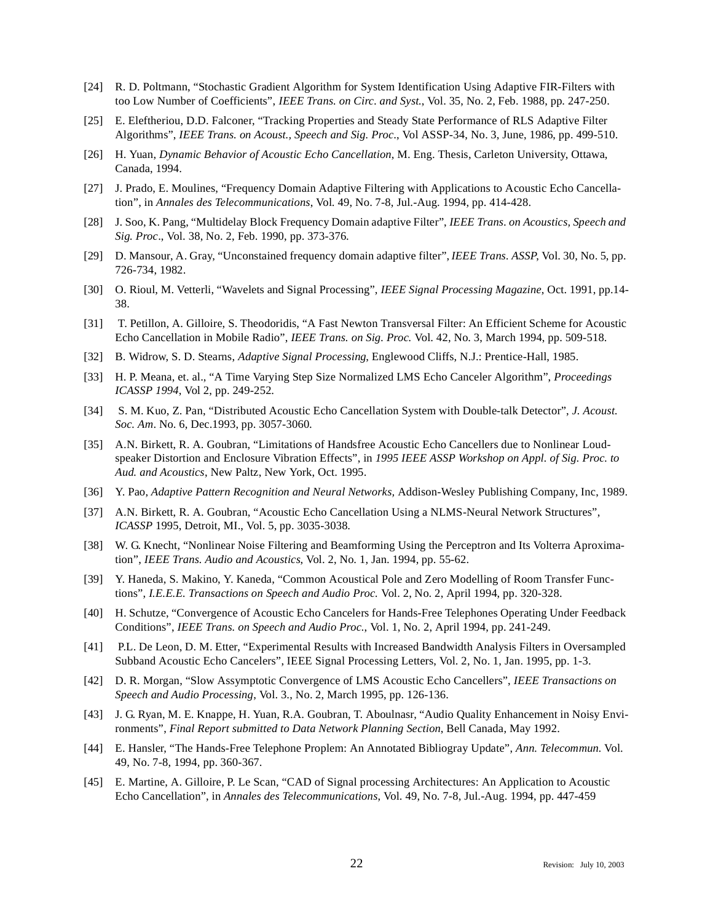- [24] R. D. Poltmann, "Stochastic Gradient Algorithm for System Identification Using Adaptive FIR-Filters with too Low Number of Coefficients", *IEEE Trans. on Circ. and Syst.*, Vol. 35, No. 2, Feb. 1988, pp. 247-250.
- [25] E. Eleftheriou, D.D. Falconer, "Tracking Properties and Steady State Performance of RLS Adaptive Filter Algorithms", *IEEE Trans. on Acoust., Speech and Sig. Proc*., Vol ASSP-34, No. 3, June, 1986, pp. 499-510.
- [26] H. Yuan, *Dynamic Behavior of Acoustic Echo Cancellation*, M. Eng. Thesis, Carleton University, Ottawa, Canada, 1994.
- [27] J. Prado, E. Moulines, "Frequency Domain Adaptive Filtering with Applications to Acoustic Echo Cancellation", in *Annales des Telecommunications*, Vol. 49, No. 7-8, Jul.-Aug. 1994, pp. 414-428.
- [28] J. Soo, K. Pang, "Multidelay Block Frequency Domain adaptive Filter", *IEEE Trans. on Acoustics, Speech and Sig. Proc*., Vol. 38, No. 2, Feb. 1990, pp. 373-376.
- [29] D. Mansour, A. Gray, "Unconstained frequency domain adaptive filter", *IEEE Trans. ASSP*, Vol. 30, No. 5, pp. 726-734, 1982.
- [30] O. Rioul, M. Vetterli, "Wavelets and Signal Processing", *IEEE Signal Processing Magazine*, Oct. 1991, pp.14- 38.
- [31] T. Petillon, A. Gilloire, S. Theodoridis, "A Fast Newton Transversal Filter: An Efficient Scheme for Acoustic Echo Cancellation in Mobile Radio", *IEEE Trans. on Sig. Proc.* Vol. 42, No. 3, March 1994, pp. 509-518.
- [32] B. Widrow, S. D. Stearns, *Adaptive Signal Processing*, Englewood Cliffs, N.J.: Prentice-Hall, 1985.
- [33] H. P. Meana, et. al., "A Time Varying Step Size Normalized LMS Echo Canceler Algorithm", *Proceedings ICASSP 1994*, Vol 2, pp. 249-252.
- [34] S. M. Kuo, Z. Pan, "Distributed Acoustic Echo Cancellation System with Double-talk Detector", *J. Acoust. Soc. Am*. No. 6, Dec.1993, pp. 3057-3060.
- [35] A.N. Birkett, R. A. Goubran, "Limitations of Handsfree Acoustic Echo Cancellers due to Nonlinear Loudspeaker Distortion and Enclosure Vibration Effects", in *1995 IEEE ASSP Workshop on Appl. of Sig. Proc. to Aud. and Acoustics*, New Paltz, New York, Oct. 1995.
- [36] Y. Pao, *Adaptive Pattern Recognition and Neural Networks,* Addison-Wesley Publishing Company, Inc, 1989.
- [37] A.N. Birkett, R. A. Goubran, "Acoustic Echo Cancellation Using a NLMS-Neural Network Structures", *ICASSP* 1995, Detroit, MI., Vol. 5, pp. 3035-3038.
- [38] W. G. Knecht, "Nonlinear Noise Filtering and Beamforming Using the Perceptron and Its Volterra Aproximation", *IEEE Trans. Audio and Acoustics*, Vol. 2, No. 1, Jan. 1994, pp. 55-62.
- [39] Y. Haneda, S. Makino, Y. Kaneda, "Common Acoustical Pole and Zero Modelling of Room Transfer Functions", *I.E.E.E. Transactions on Speech and Audio Proc.* Vol. 2, No. 2, April 1994, pp. 320-328.
- [40] H. Schutze, "Convergence of Acoustic Echo Cancelers for Hands-Free Telephones Operating Under Feedback Conditions", *IEEE Trans. on Speech and Audio Proc.*, Vol. 1, No. 2, April 1994, pp. 241-249.
- [41] P.L. De Leon, D. M. Etter, "Experimental Results with Increased Bandwidth Analysis Filters in Oversampled Subband Acoustic Echo Cancelers", IEEE Signal Processing Letters, Vol. 2, No. 1, Jan. 1995, pp. 1-3.
- [42] D. R. Morgan, "Slow Assymptotic Convergence of LMS Acoustic Echo Cancellers", *IEEE Transactions on Speech and Audio Processing*, Vol. 3., No. 2, March 1995, pp. 126-136.
- [43] J. G. Ryan, M. E. Knappe, H. Yuan, R.A. Goubran, T. Aboulnasr, "Audio Quality Enhancement in Noisy Environments", *Final Report submitted to Data Network Planning Section*, Bell Canada, May 1992.
- [44] E. Hansler, "The Hands-Free Telephone Proplem: An Annotated Bibliogray Update", *Ann. Telecommun.* Vol. 49, No. 7-8, 1994, pp. 360-367.
- [45] E. Martine, A. Gilloire, P. Le Scan, "CAD of Signal processing Architectures: An Application to Acoustic Echo Cancellation", in *Annales des Telecommunications*, Vol. 49, No. 7-8, Jul.-Aug. 1994, pp. 447-459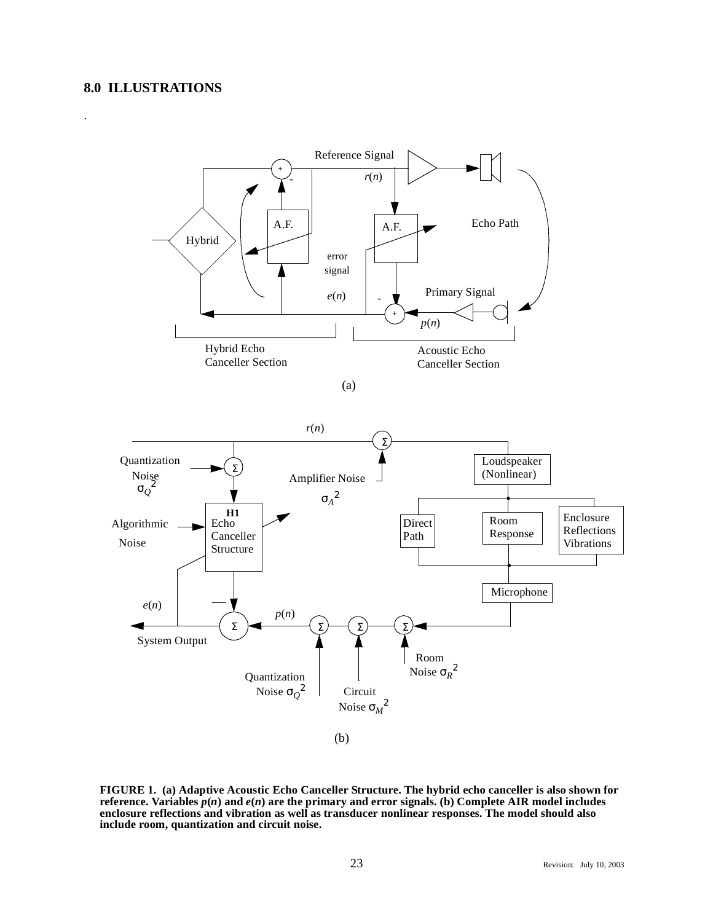## **8.0 ILLUSTRATIONS**

.



(b)

**FIGURE 1. (a) Adaptive Acoustic Echo Canceller Structure. The hybrid echo canceller is also shown for reference.** Variables  $p(n)$  and  $e(n)$  are the primary and error signals. (b) Complete AIR model includes **enclosure reflections and vibration as well as transducer nonlinear responses. The model should also include room, quantization and circuit noise.**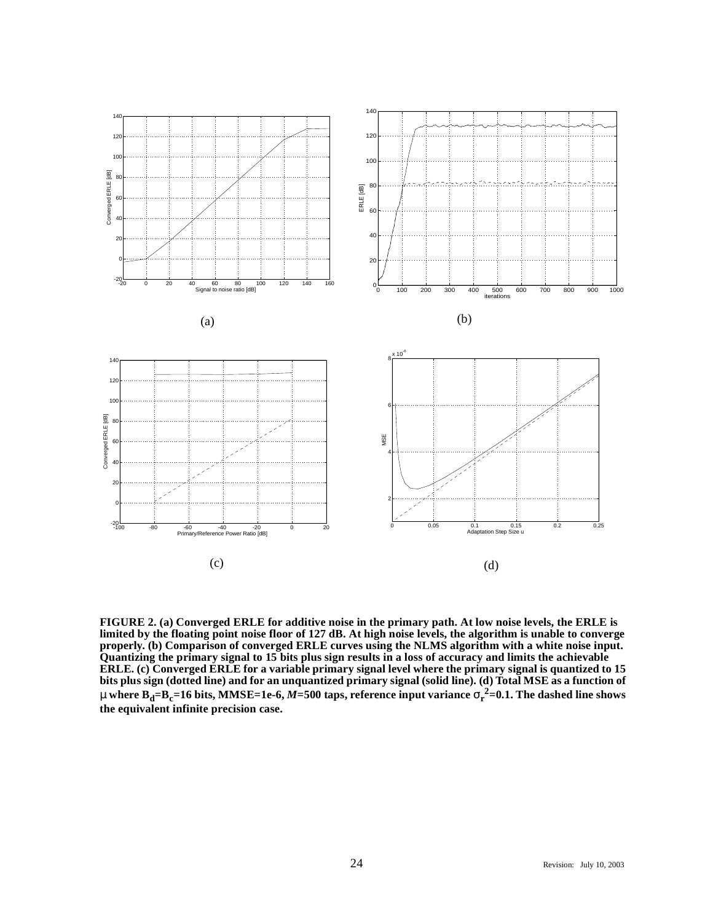

**FIGURE 2. (a) Converged ERLE for additive noise in the primary path. At low noise levels, the ERLE is limited by the floating point noise floor of 127 dB. At high noise levels, the algorithm is unable to converge properly. (b) Comparison of converged ERLE curves using the NLMS algorithm with a white noise input. Quantizing the primary signal to 15 bits plus sign results in a loss of accuracy and limits the achievable ERLE. (c) Converged ERLE for a variable primary signal level where the primary signal is quantized to 15 bits plus sign (dotted line) and for an unquantized primary signal (solid line). (d) Total MSE as a function of**  $\mu$  where  $\bf{B}_d$ = $\bf{B}_c$ =16 bits, MMSE=1e-6, *M*=500 taps, reference input variance  $\sigma_r^{\ 2}$ =0.1. The dashed line shows **the equivalent infinite precision case.**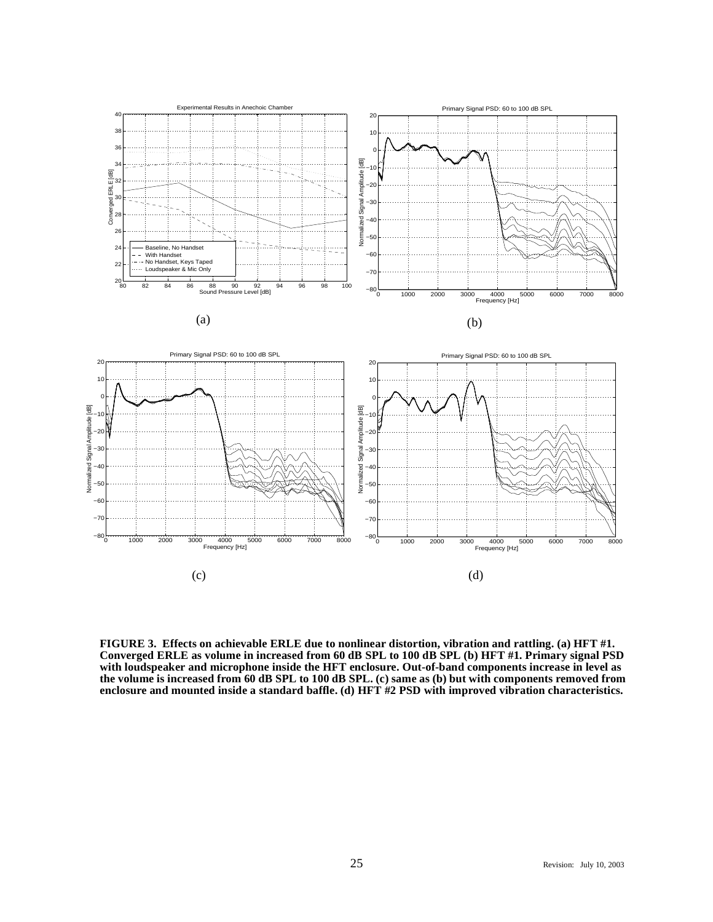

(c) (d)

**FIGURE 3. Effects on achievable ERLE due to nonlinear distortion, vibration and rattling. (a) HFT #1. Converged ERLE as volume in increased from 60 dB SPL to 100 dB SPL (b) HFT #1. Primary signal PSD with loudspeaker and microphone inside the HFT enclosure. Out-of-band components increase in level as the volume is increased from 60 dB SPL to 100 dB SPL. (c) same as (b) but with components removed from enclosure and mounted inside a standard baffle. (d) HFT #2 PSD with improved vibration characteristics.**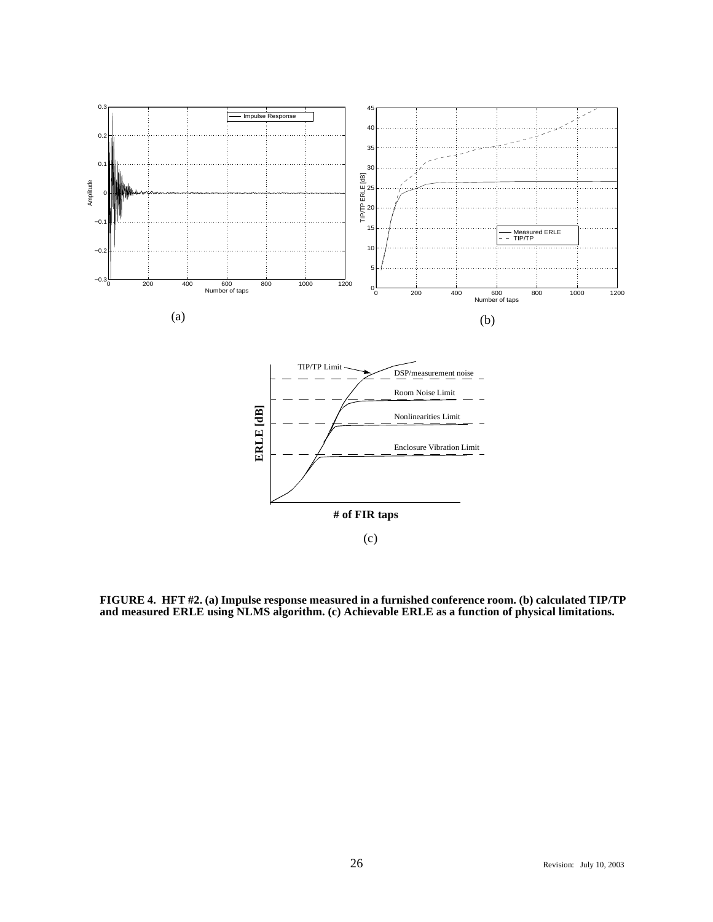

**FIGURE 4. HFT #2. (a) Impulse response measured in a furnished conference room. (b) calculated TIP/TP and measured ERLE using NLMS algorithm. (c) Achievable ERLE as a function of physical limitations.**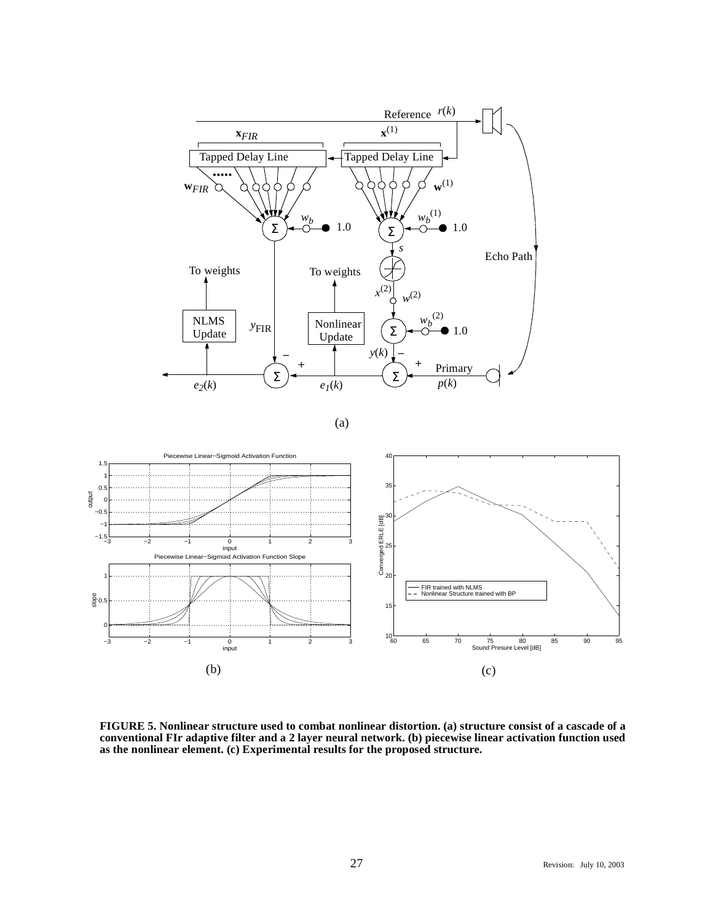

(a)



**FIGURE 5. Nonlinear structure used to combat nonlinear distortion. (a) structure consist of a cascade of a conventional FIr adaptive filter and a 2 layer neural network. (b) piecewise linear activation function used as the nonlinear element. (c) Experimental results for the proposed structure.**